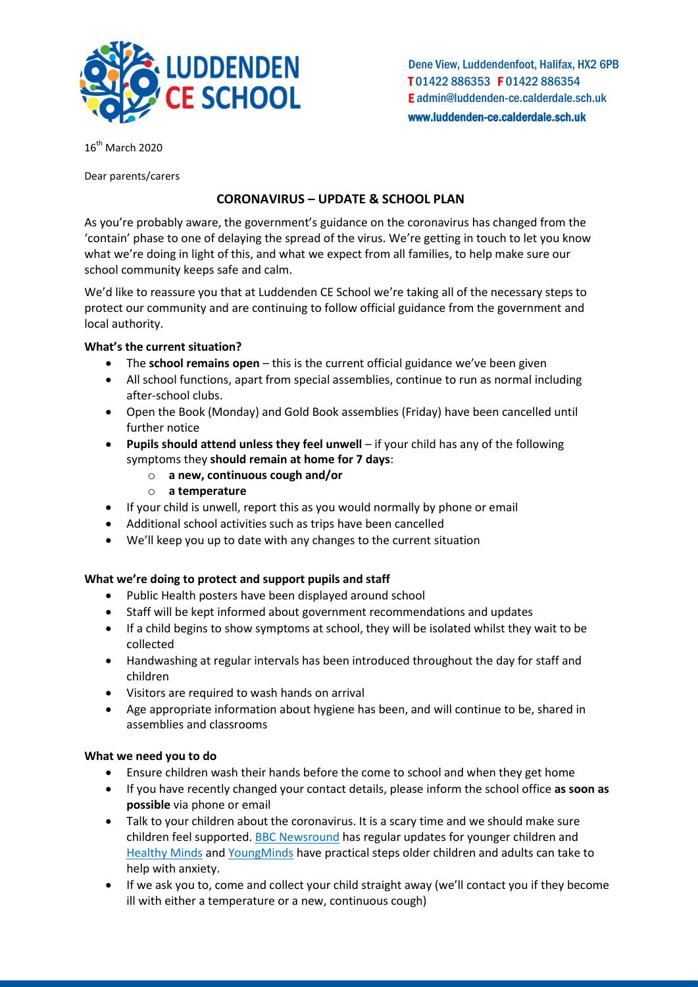

Dene View, Luddendenfoot, Halifax, HX2 6PB T 01422 886353 F 01422 886354 E admin@luddenden-ce.calderdale.sch.uk www.luddenden-ce.calderdale.sch.uk

16<sup>th</sup> March 2020

Dear parents/carers

# **CORONAVIRUS – UPDATE & SCHOOL PLAN**

As you're probably aware, the government's guidance on the coronavirus has changed from the 'contain' phase to one of delaying the spread of the virus. We're getting in touch to let you know what we're doing in light of this, and what we expect from all families, to help make sure our school community keeps safe and calm.

We'd like to reassure you that at Luddenden CE School we're taking all of the necessary steps to protect our community and are continuing to follow official guidance from the government and local authority.

## **What's the current situation?**

- The **school remains open** this is the current official guidance we've been given
- All school functions, apart from special assemblies, continue to run as normal including after-school clubs.
- Open the Book (Monday) and Gold Book assemblies (Friday) have been cancelled until further notice
- **Pupils should attend unless they feel unwell** if your child has any of the following symptoms they **should remain at home for 7 days**:
	- o **a new, continuous cough and/or**
	- o **a temperature**
- If your child is unwell, report this as you would normally by phone or email
- Additional school activities such as trips have been cancelled
- We'll keep you up to date with any changes to the current situation

### **What we're doing to protect and support pupils and staff**

- Public Health posters have been displayed around school
- Staff will be kept informed about government recommendations and updates
- If a child begins to show symptoms at school, they will be isolated whilst they wait to be collected
- Handwashing at regular intervals has been introduced throughout the day for staff and children
- Visitors are required to wash hands on arrival
- Age appropriate information about hygiene has been, and will continue to be, shared in assemblies and classrooms

### **What we need you to do**

- Ensure children wash their hands before the come to school and when they get home
- If you have recently changed your contact details, please inform the school office **as soon as possible** via phone or email
- Talk to your children about the coronavirus. It is a scary time and we should make sure children feel supported[. BBC Newsround](https://www.bbc.co.uk/newsround) has regular updates for younger children and [Healthy Minds](http://www.healthymindscalderdale.co.uk/latest-news.html) an[d YoungMinds](https://youngminds.org.uk/blog/what-to-do-if-you-re-anxious-about-coronavirus/) have practical steps older children and adults can take to help with anxiety.
- If we ask you to, come and collect your child straight away (we'll contact you if they become ill with either a temperature or a new, continuous cough)